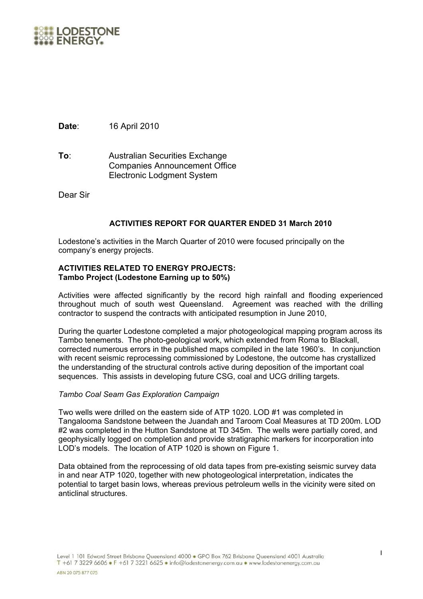

**Date**: 16 April 2010

**To**: Australian Securities Exchange Companies Announcement Office Electronic Lodgment System

Dear Sir

# **ACTIVITIES REPORT FOR QUARTER ENDED 31 March 2010**

Lodestone's activities in the March Quarter of 2010 were focused principally on the company's energy projects.

## **ACTIVITIES RELATED TO ENERGY PROJECTS: Tambo Project (Lodestone Earning up to 50%)**

Activities were affected significantly by the record high rainfall and flooding experienced throughout much of south west Queensland. Agreement was reached with the drilling contractor to suspend the contracts with anticipated resumption in June 2010,

During the quarter Lodestone completed a major photogeological mapping program across its Tambo tenements. The photo-geological work, which extended from Roma to Blackall, corrected numerous errors in the published maps compiled in the late 1960's. In conjunction with recent seismic reprocessing commissioned by Lodestone, the outcome has crystallized the understanding of the structural controls active during deposition of the important coal sequences. This assists in developing future CSG, coal and UCG drilling targets.

## *Tambo Coal Seam Gas Exploration Campaign*

Two wells were drilled on the eastern side of ATP 1020. LOD #1 was completed in Tangalooma Sandstone between the Juandah and Taroom Coal Measures at TD 200m. LOD #2 was completed in the Hutton Sandstone at TD 345m. The wells were partially cored, and geophysically logged on completion and provide stratigraphic markers for incorporation into LOD's models. The location of ATP 1020 is shown on Figure 1.

Data obtained from the reprocessing of old data tapes from pre-existing seismic survey data in and near ATP 1020, together with new photogeological interpretation, indicates the potential to target basin lows, whereas previous petroleum wells in the vicinity were sited on anticlinal structures.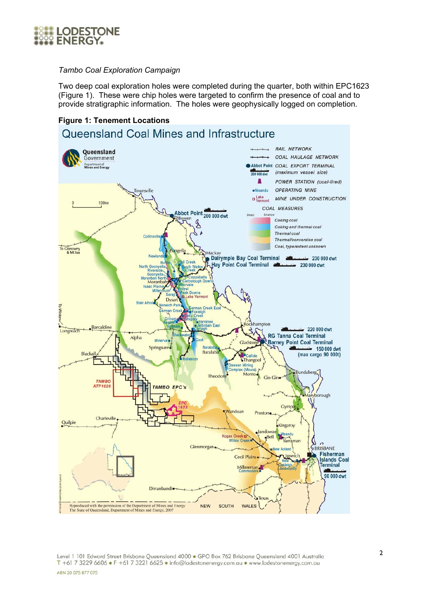

## *Tambo Coal Exploration Campaign*

Two deep coal exploration holes were completed during the quarter, both within EPC1623 (Figure 1). These were chip holes were targeted to confirm the presence of coal and to provide stratigraphic information. The holes were geophysically logged on completion.



Level 1 101 Edward Street Brisbane Queensland 4000 · GPO Box 762 Brisbane Queensland 4001 Australia T +61 7 3229 6606 • F +61 7 3221 6625 • info@lodestonenergy.com.au • www.lodestonenergy.com.au ABN 20 075 877 075